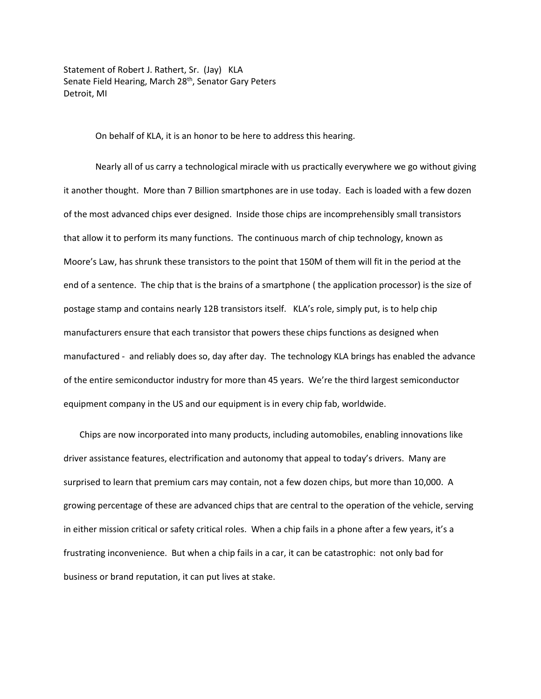Statement of Robert J. Rathert, Sr. (Jay) KLA Senate Field Hearing, March 28<sup>th</sup>, Senator Gary Peters Detroit, MI

On behalf of KLA, it is an honor to be here to address this hearing.

Nearly all of us carry a technological miracle with us practically everywhere we go without giving it another thought. More than 7 Billion smartphones are in use today. Each is loaded with a few dozen of the most advanced chips ever designed. Inside those chips are incomprehensibly small transistors that allow it to perform its many functions. The continuous march of chip technology, known as Moore's Law, has shrunk these transistors to the point that 150M of them will fit in the period at the end of a sentence. The chip that is the brains of a smartphone ( the application processor) is the size of postage stamp and contains nearly 12B transistors itself. KLA's role, simply put, is to help chip manufacturers ensure that each transistor that powers these chips functions as designed when manufactured - and reliably does so, day after day. The technology KLA brings has enabled the advance of the entire semiconductor industry for more than 45 years. We're the third largest semiconductor equipment company in the US and our equipment is in every chip fab, worldwide.

Chips are now incorporated into many products, including automobiles, enabling innovations like driver assistance features, electrification and autonomy that appeal to today's drivers. Many are surprised to learn that premium cars may contain, not a few dozen chips, but more than 10,000. A growing percentage of these are advanced chips that are central to the operation of the vehicle, serving in either mission critical or safety critical roles. When a chip fails in a phone after a few years, it's a frustrating inconvenience. But when a chip fails in a car, it can be catastrophic: not only bad for business or brand reputation, it can put lives at stake.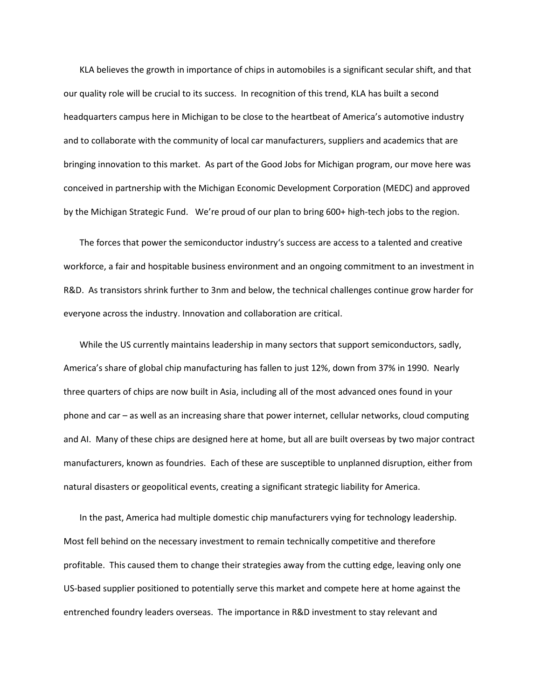KLA believes the growth in importance of chips in automobiles is a significant secular shift, and that our quality role will be crucial to its success. In recognition of this trend, KLA has built a second headquarters campus here in Michigan to be close to the heartbeat of America's automotive industry and to collaborate with the community of local car manufacturers, suppliers and academics that are bringing innovation to this market. As part of the Good Jobs for Michigan program, our move here was conceived in partnership with the Michigan Economic Development Corporation (MEDC) and approved by the Michigan Strategic Fund. We're proud of our plan to bring 600+ high-tech jobs to the region.

The forces that power the semiconductor industry's success are access to a talented and creative workforce, a fair and hospitable business environment and an ongoing commitment to an investment in R&D. As transistors shrink further to 3nm and below, the technical challenges continue grow harder for everyone across the industry. Innovation and collaboration are critical.

While the US currently maintains leadership in many sectors that support semiconductors, sadly, America's share of global chip manufacturing has fallen to just 12%, down from 37% in 1990. Nearly three quarters of chips are now built in Asia, including all of the most advanced ones found in your phone and car – as well as an increasing share that power internet, cellular networks, cloud computing and AI. Many of these chips are designed here at home, but all are built overseas by two major contract manufacturers, known as foundries. Each of these are susceptible to unplanned disruption, either from natural disasters or geopolitical events, creating a significant strategic liability for America.

In the past, America had multiple domestic chip manufacturers vying for technology leadership. Most fell behind on the necessary investment to remain technically competitive and therefore profitable. This caused them to change their strategies away from the cutting edge, leaving only one US-based supplier positioned to potentially serve this market and compete here at home against the entrenched foundry leaders overseas. The importance in R&D investment to stay relevant and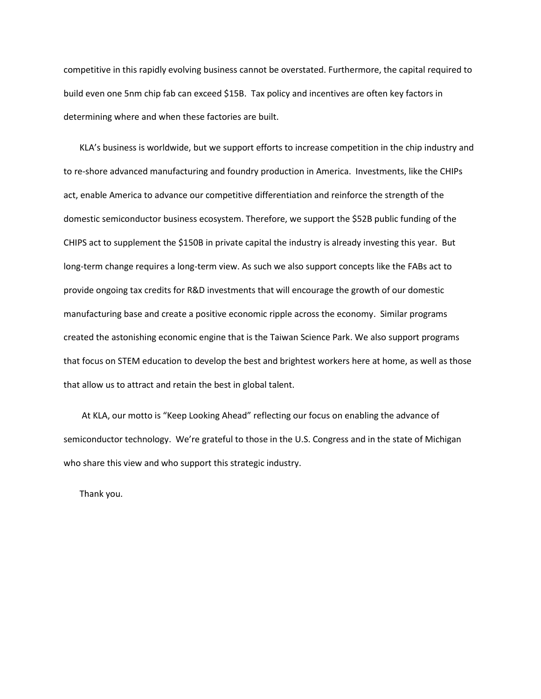competitive in this rapidly evolving business cannot be overstated. Furthermore, the capital required to build even one 5nm chip fab can exceed \$15B. Tax policy and incentives are often key factors in determining where and when these factories are built.

KLA's business is worldwide, but we support efforts to increase competition in the chip industry and to re-shore advanced manufacturing and foundry production in America. Investments, like the CHIPs act, enable America to advance our competitive differentiation and reinforce the strength of the domestic semiconductor business ecosystem. Therefore, we support the \$52B public funding of the CHIPS act to supplement the \$150B in private capital the industry is already investing this year. But long-term change requires a long-term view. As such we also support concepts like the FABs act to provide ongoing tax credits for R&D investments that will encourage the growth of our domestic manufacturing base and create a positive economic ripple across the economy. Similar programs created the astonishing economic engine that is the Taiwan Science Park. We also support programs that focus on STEM education to develop the best and brightest workers here at home, as well as those that allow us to attract and retain the best in global talent.

At KLA, our motto is "Keep Looking Ahead" reflecting our focus on enabling the advance of semiconductor technology. We're grateful to those in the U.S. Congress and in the state of Michigan who share this view and who support this strategic industry.

Thank you.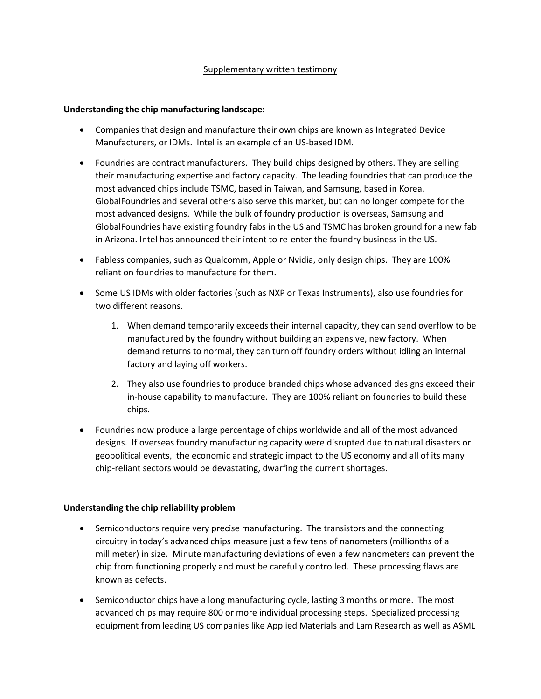# Supplementary written testimony

## **Understanding the chip manufacturing landscape:**

- Companies that design and manufacture their own chips are known as Integrated Device Manufacturers, or IDMs. Intel is an example of an US-based IDM.
- Foundries are contract manufacturers. They build chips designed by others. They are selling their manufacturing expertise and factory capacity. The leading foundries that can produce the most advanced chips include TSMC, based in Taiwan, and Samsung, based in Korea. GlobalFoundries and several others also serve this market, but can no longer compete for the most advanced designs. While the bulk of foundry production is overseas, Samsung and GlobalFoundries have existing foundry fabs in the US and TSMC has broken ground for a new fab in Arizona. Intel has announced their intent to re-enter the foundry business in the US.
- Fabless companies, such as Qualcomm, Apple or Nvidia, only design chips. They are 100% reliant on foundries to manufacture for them.
- Some US IDMs with older factories (such as NXP or Texas Instruments), also use foundries for two different reasons.
	- 1. When demand temporarily exceeds their internal capacity, they can send overflow to be manufactured by the foundry without building an expensive, new factory. When demand returns to normal, they can turn off foundry orders without idling an internal factory and laying off workers.
	- 2. They also use foundries to produce branded chips whose advanced designs exceed their in-house capability to manufacture. They are 100% reliant on foundries to build these chips.
- Foundries now produce a large percentage of chips worldwide and all of the most advanced designs. If overseas foundry manufacturing capacity were disrupted due to natural disasters or geopolitical events, the economic and strategic impact to the US economy and all of its many chip-reliant sectors would be devastating, dwarfing the current shortages.

## **Understanding the chip reliability problem**

- Semiconductors require very precise manufacturing. The transistors and the connecting circuitry in today's advanced chips measure just a few tens of nanometers (millionths of a millimeter) in size. Minute manufacturing deviations of even a few nanometers can prevent the chip from functioning properly and must be carefully controlled. These processing flaws are known as defects.
- Semiconductor chips have a long manufacturing cycle, lasting 3 months or more. The most advanced chips may require 800 or more individual processing steps. Specialized processing equipment from leading US companies like Applied Materials and Lam Research as well as ASML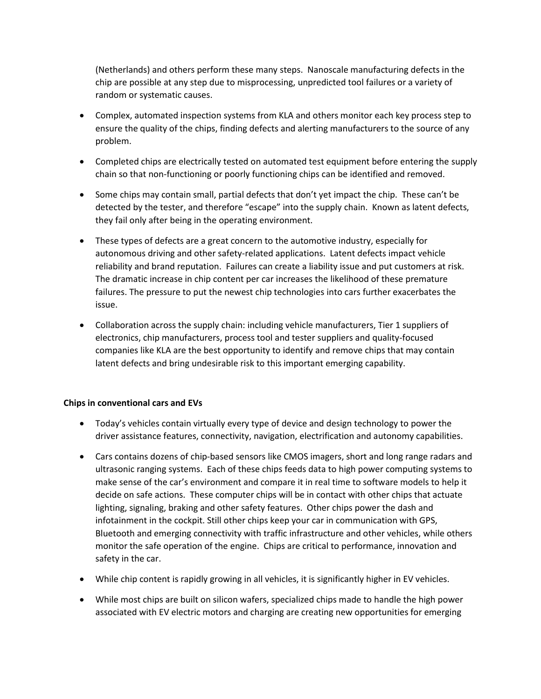(Netherlands) and others perform these many steps. Nanoscale manufacturing defects in the chip are possible at any step due to misprocessing, unpredicted tool failures or a variety of random or systematic causes.

- Complex, automated inspection systems from KLA and others monitor each key process step to ensure the quality of the chips, finding defects and alerting manufacturers to the source of any problem.
- Completed chips are electrically tested on automated test equipment before entering the supply chain so that non-functioning or poorly functioning chips can be identified and removed.
- Some chips may contain small, partial defects that don't yet impact the chip. These can't be detected by the tester, and therefore "escape" into the supply chain. Known as latent defects, they fail only after being in the operating environment.
- These types of defects are a great concern to the automotive industry, especially for autonomous driving and other safety-related applications. Latent defects impact vehicle reliability and brand reputation. Failures can create a liability issue and put customers at risk. The dramatic increase in chip content per car increases the likelihood of these premature failures. The pressure to put the newest chip technologies into cars further exacerbates the issue.
- Collaboration across the supply chain: including vehicle manufacturers, Tier 1 suppliers of electronics, chip manufacturers, process tool and tester suppliers and quality-focused companies like KLA are the best opportunity to identify and remove chips that may contain latent defects and bring undesirable risk to this important emerging capability.

## **Chips in conventional cars and EVs**

- Today's vehicles contain virtually every type of device and design technology to power the driver assistance features, connectivity, navigation, electrification and autonomy capabilities.
- Cars contains dozens of chip-based sensors like CMOS imagers, short and long range radars and ultrasonic ranging systems. Each of these chips feeds data to high power computing systems to make sense of the car's environment and compare it in real time to software models to help it decide on safe actions. These computer chips will be in contact with other chips that actuate lighting, signaling, braking and other safety features. Other chips power the dash and infotainment in the cockpit. Still other chips keep your car in communication with GPS, Bluetooth and emerging connectivity with traffic infrastructure and other vehicles, while others monitor the safe operation of the engine. Chips are critical to performance, innovation and safety in the car.
- While chip content is rapidly growing in all vehicles, it is significantly higher in EV vehicles.
- While most chips are built on silicon wafers, specialized chips made to handle the high power associated with EV electric motors and charging are creating new opportunities for emerging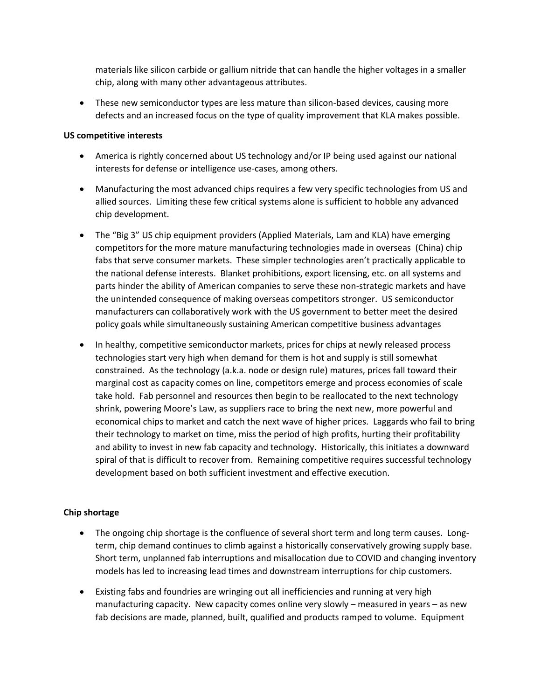materials like silicon carbide or gallium nitride that can handle the higher voltages in a smaller chip, along with many other advantageous attributes.

 These new semiconductor types are less mature than silicon-based devices, causing more defects and an increased focus on the type of quality improvement that KLA makes possible.

### **US competitive interests**

- America is rightly concerned about US technology and/or IP being used against our national interests for defense or intelligence use-cases, among others.
- Manufacturing the most advanced chips requires a few very specific technologies from US and allied sources. Limiting these few critical systems alone is sufficient to hobble any advanced chip development.
- The "Big 3" US chip equipment providers (Applied Materials, Lam and KLA) have emerging competitors for the more mature manufacturing technologies made in overseas (China) chip fabs that serve consumer markets. These simpler technologies aren't practically applicable to the national defense interests. Blanket prohibitions, export licensing, etc. on all systems and parts hinder the ability of American companies to serve these non-strategic markets and have the unintended consequence of making overseas competitors stronger. US semiconductor manufacturers can collaboratively work with the US government to better meet the desired policy goals while simultaneously sustaining American competitive business advantages
- In healthy, competitive semiconductor markets, prices for chips at newly released process technologies start very high when demand for them is hot and supply is still somewhat constrained. As the technology (a.k.a. node or design rule) matures, prices fall toward their marginal cost as capacity comes on line, competitors emerge and process economies of scale take hold. Fab personnel and resources then begin to be reallocated to the next technology shrink, powering Moore's Law, as suppliers race to bring the next new, more powerful and economical chips to market and catch the next wave of higher prices. Laggards who fail to bring their technology to market on time, miss the period of high profits, hurting their profitability and ability to invest in new fab capacity and technology. Historically, this initiates a downward spiral of that is difficult to recover from. Remaining competitive requires successful technology development based on both sufficient investment and effective execution.

## **Chip shortage**

- The ongoing chip shortage is the confluence of several short term and long term causes. Longterm, chip demand continues to climb against a historically conservatively growing supply base. Short term, unplanned fab interruptions and misallocation due to COVID and changing inventory models has led to increasing lead times and downstream interruptions for chip customers.
- Existing fabs and foundries are wringing out all inefficiencies and running at very high manufacturing capacity. New capacity comes online very slowly – measured in years – as new fab decisions are made, planned, built, qualified and products ramped to volume. Equipment